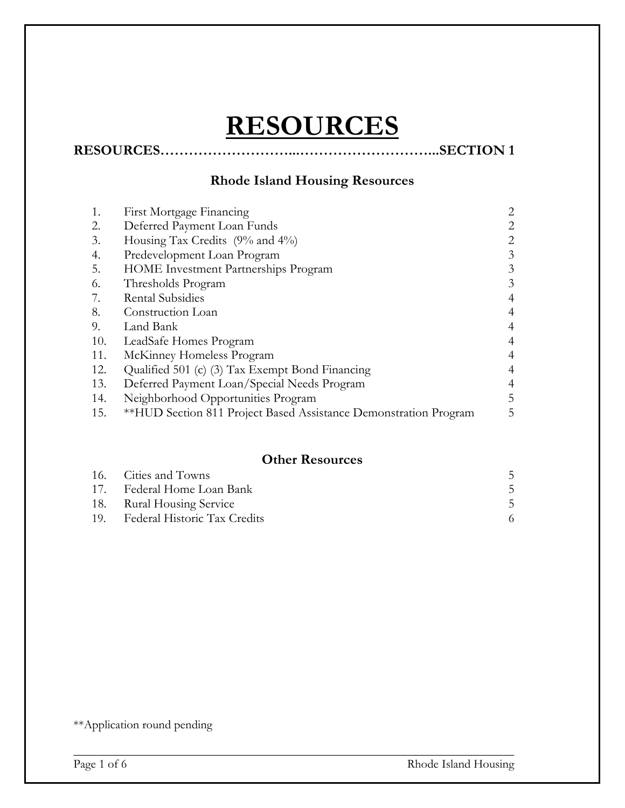# **RESOURCES**

## **RESOURCES………………………...………………………...SECTION 1**

## **Rhode Island Housing Resources**

| First Mortgage Financing                                         | 2              |
|------------------------------------------------------------------|----------------|
| Deferred Payment Loan Funds                                      | 2              |
| Housing Tax Credits (9% and 4%)                                  | 2              |
| Predevelopment Loan Program                                      | 3              |
| <b>HOME</b> Investment Partnerships Program                      | 3              |
| Thresholds Program                                               | 3              |
| <b>Rental Subsidies</b>                                          | $\overline{4}$ |
| Construction Loan                                                |                |
| Land Bank                                                        | $\overline{4}$ |
| LeadSafe Homes Program                                           |                |
| McKinney Homeless Program                                        | $\overline{4}$ |
| Qualified 501 (c) (3) Tax Exempt Bond Financing                  |                |
| Deferred Payment Loan/Special Needs Program                      | 4              |
| Neighborhood Opportunities Program                               | 5              |
| **HUD Section 811 Project Based Assistance Demonstration Program | 5              |
|                                                                  |                |

#### **Other Resources**

| 16. Cities and Towns             |  |
|----------------------------------|--|
| 17. Federal Home Loan Bank       |  |
| 18. Rural Housing Service        |  |
| 19. Federal Historic Tax Credits |  |

\_\_\_\_\_\_\_\_\_\_\_\_\_\_\_\_\_\_\_\_\_\_\_\_\_\_\_\_\_\_\_\_\_\_\_\_\_\_\_\_\_\_\_\_\_\_\_\_\_\_\_\_\_\_\_\_\_\_\_\_\_\_\_\_\_\_\_\_\_\_\_\_

\*\*Application round pending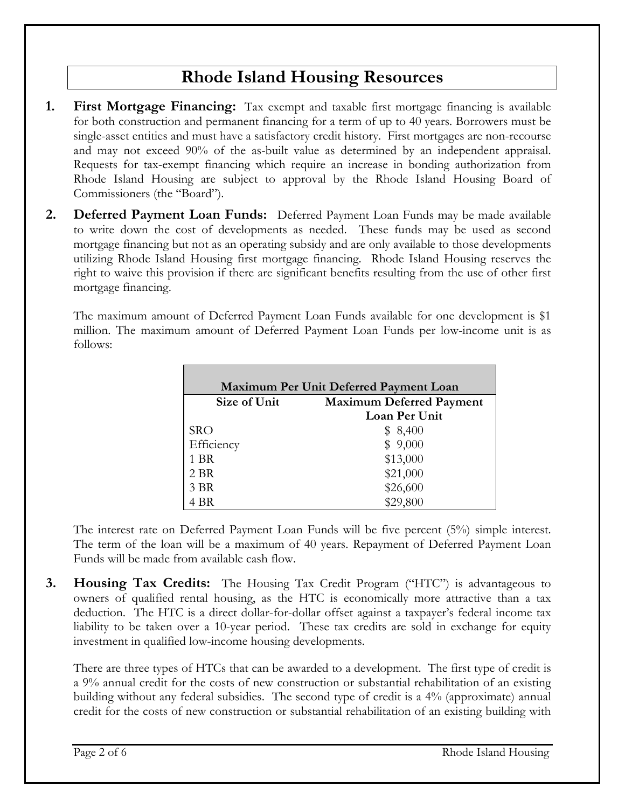# **Rhode Island Housing Resources**

- **1. First Mortgage Financing:** Tax exempt and taxable first mortgage financing is available for both construction and permanent financing for a term of up to 40 years. Borrowers must be single-asset entities and must have a satisfactory credit history. First mortgages are non-recourse and may not exceed 90% of the as-built value as determined by an independent appraisal. Requests for tax-exempt financing which require an increase in bonding authorization from Rhode Island Housing are subject to approval by the Rhode Island Housing Board of Commissioners (the "Board").
- **2. Deferred Payment Loan Funds:** Deferred Payment Loan Funds may be made available to write down the cost of developments as needed. These funds may be used as second mortgage financing but not as an operating subsidy and are only available to those developments utilizing Rhode Island Housing first mortgage financing. Rhode Island Housing reserves the right to waive this provision if there are significant benefits resulting from the use of other first mortgage financing.

The maximum amount of Deferred Payment Loan Funds available for one development is \$1 million. The maximum amount of Deferred Payment Loan Funds per low-income unit is as follows:

| Maximum Per Unit Deferred Payment Loan |                                 |  |  |
|----------------------------------------|---------------------------------|--|--|
| Size of Unit                           | <b>Maximum Deferred Payment</b> |  |  |
|                                        | Loan Per Unit                   |  |  |
| <b>SRO</b>                             | \$8,400                         |  |  |
| Efficiency                             | \$9,000                         |  |  |
| 1 BR                                   | \$13,000                        |  |  |
| 2 BR                                   | \$21,000                        |  |  |
| 3 BR                                   | \$26,600                        |  |  |
| 4 BR                                   | \$29,800                        |  |  |

The interest rate on Deferred Payment Loan Funds will be five percent (5%) simple interest. The term of the loan will be a maximum of 40 years. Repayment of Deferred Payment Loan Funds will be made from available cash flow.

**3. Housing Tax Credits:** The Housing Tax Credit Program ("HTC") is advantageous to owners of qualified rental housing, as the HTC is economically more attractive than a tax deduction. The HTC is a direct dollar-for-dollar offset against a taxpayer's federal income tax liability to be taken over a 10-year period. These tax credits are sold in exchange for equity investment in qualified low-income housing developments.

There are three types of HTCs that can be awarded to a development. The first type of credit is a 9% annual credit for the costs of new construction or substantial rehabilitation of an existing building without any federal subsidies. The second type of credit is a 4% (approximate) annual credit for the costs of new construction or substantial rehabilitation of an existing building with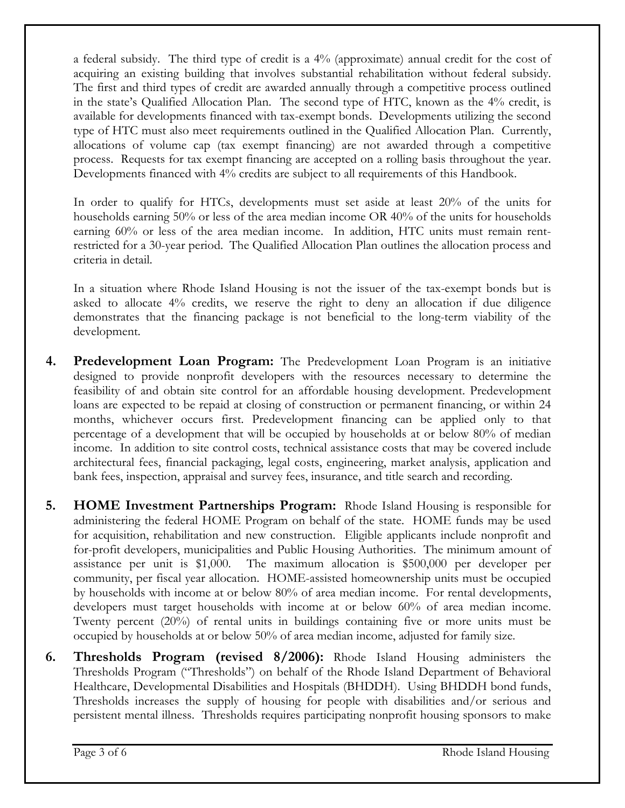a federal subsidy. The third type of credit is a 4% (approximate) annual credit for the cost of acquiring an existing building that involves substantial rehabilitation without federal subsidy. The first and third types of credit are awarded annually through a competitive process outlined in the state's Qualified Allocation Plan. The second type of HTC, known as the 4% credit, is available for developments financed with tax-exempt bonds. Developments utilizing the second type of HTC must also meet requirements outlined in the Qualified Allocation Plan. Currently, allocations of volume cap (tax exempt financing) are not awarded through a competitive process. Requests for tax exempt financing are accepted on a rolling basis throughout the year. Developments financed with 4% credits are subject to all requirements of this Handbook.

In order to qualify for HTCs, developments must set aside at least 20% of the units for households earning 50% or less of the area median income OR 40% of the units for households earning 60% or less of the area median income. In addition, HTC units must remain rentrestricted for a 30-year period. The Qualified Allocation Plan outlines the allocation process and criteria in detail.

In a situation where Rhode Island Housing is not the issuer of the tax-exempt bonds but is asked to allocate 4% credits, we reserve the right to deny an allocation if due diligence demonstrates that the financing package is not beneficial to the long-term viability of the development.

- **4. Predevelopment Loan Program:** The Predevelopment Loan Program is an initiative designed to provide nonprofit developers with the resources necessary to determine the feasibility of and obtain site control for an affordable housing development. Predevelopment loans are expected to be repaid at closing of construction or permanent financing, or within 24 months, whichever occurs first. Predevelopment financing can be applied only to that percentage of a development that will be occupied by households at or below 80% of median income. In addition to site control costs, technical assistance costs that may be covered include architectural fees, financial packaging, legal costs, engineering, market analysis, application and bank fees, inspection, appraisal and survey fees, insurance, and title search and recording.
- **5. HOME Investment Partnerships Program:** Rhode Island Housing is responsible for administering the federal HOME Program on behalf of the state. HOME funds may be used for acquisition, rehabilitation and new construction. Eligible applicants include nonprofit and for-profit developers, municipalities and Public Housing Authorities. The minimum amount of assistance per unit is \$1,000. The maximum allocation is \$500,000 per developer per community, per fiscal year allocation. HOME-assisted homeownership units must be occupied by households with income at or below 80% of area median income. For rental developments, developers must target households with income at or below 60% of area median income. Twenty percent (20%) of rental units in buildings containing five or more units must be occupied by households at or below 50% of area median income, adjusted for family size.
- **6. Thresholds Program (revised 8/2006):** Rhode Island Housing administers the Thresholds Program ("Thresholds") on behalf of the Rhode Island Department of Behavioral Healthcare, Developmental Disabilities and Hospitals (BHDDH). Using BHDDH bond funds, Thresholds increases the supply of housing for people with disabilities and/or serious and persistent mental illness. Thresholds requires participating nonprofit housing sponsors to make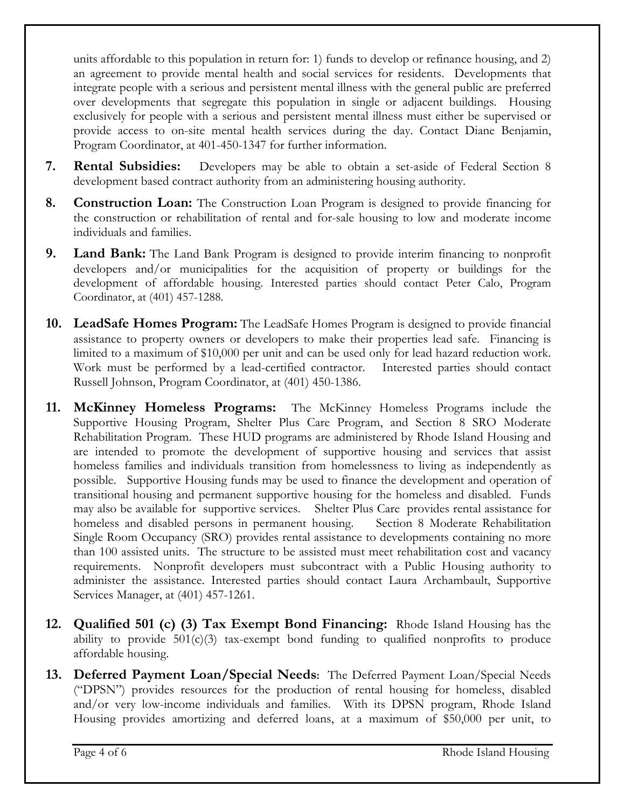units affordable to this population in return for: 1) funds to develop or refinance housing, and 2) an agreement to provide mental health and social services for residents. Developments that integrate people with a serious and persistent mental illness with the general public are preferred over developments that segregate this population in single or adjacent buildings. Housing exclusively for people with a serious and persistent mental illness must either be supervised or provide access to on-site mental health services during the day. Contact Diane Benjamin, Program Coordinator, at 401-450-1347 for further information.

- **7. Rental Subsidies:** Developers may be able to obtain a set-aside of Federal Section 8 development based contract authority from an administering housing authority.
- **8. Construction Loan:** The Construction Loan Program is designed to provide financing for the construction or rehabilitation of rental and for-sale housing to low and moderate income individuals and families.
- **9. Land Bank:** The Land Bank Program is designed to provide interim financing to nonprofit developers and/or municipalities for the acquisition of property or buildings for the development of affordable housing. Interested parties should contact Peter Calo, Program Coordinator, at (401) 457-1288.
- **10. LeadSafe Homes Program:** The LeadSafe Homes Program is designed to provide financial assistance to property owners or developers to make their properties lead safe. Financing is limited to a maximum of \$10,000 per unit and can be used only for lead hazard reduction work. Work must be performed by a lead-certified contractor. Interested parties should contact Russell Johnson, Program Coordinator, at (401) 450-1386.
- **11. McKinney Homeless Programs:** The McKinney Homeless Programs include the Supportive Housing Program, Shelter Plus Care Program, and Section 8 SRO Moderate Rehabilitation Program. These HUD programs are administered by Rhode Island Housing and are intended to promote the development of supportive housing and services that assist homeless families and individuals transition from homelessness to living as independently as possible. Supportive Housing funds may be used to finance the development and operation of transitional housing and permanent supportive housing for the homeless and disabled. Funds may also be available for supportive services. Shelter Plus Care provides rental assistance for homeless and disabled persons in permanent housing. Section 8 Moderate Rehabilitation Single Room Occupancy (SRO) provides rental assistance to developments containing no more than 100 assisted units. The structure to be assisted must meet rehabilitation cost and vacancy requirements. Nonprofit developers must subcontract with a Public Housing authority to administer the assistance. Interested parties should contact Laura Archambault, Supportive Services Manager, at (401) 457-1261.
- **12. Qualified 501 (c) (3) Tax Exempt Bond Financing:** Rhode Island Housing has the ability to provide 501(c)(3) tax-exempt bond funding to qualified nonprofits to produce affordable housing.
- **13. Deferred Payment Loan/Special Needs:** The Deferred Payment Loan/Special Needs ("DPSN") provides resources for the production of rental housing for homeless, disabled and/or very low-income individuals and families. With its DPSN program, Rhode Island Housing provides amortizing and deferred loans, at a maximum of \$50,000 per unit, to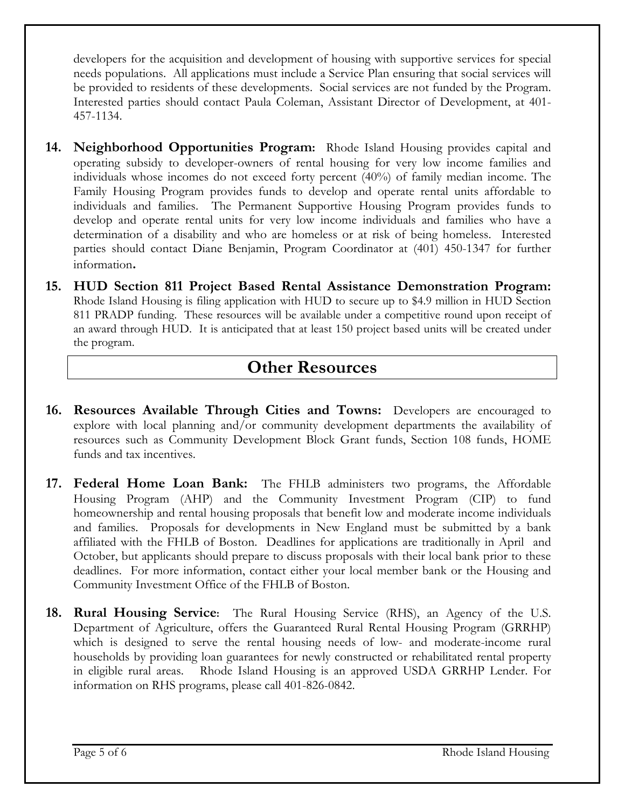developers for the acquisition and development of housing with supportive services for special needs populations. All applications must include a Service Plan ensuring that social services will be provided to residents of these developments. Social services are not funded by the Program. Interested parties should contact Paula Coleman, Assistant Director of Development, at 401- 457-1134.

- **14. Neighborhood Opportunities Program:** Rhode Island Housing provides capital and operating subsidy to developer-owners of rental housing for very low income families and individuals whose incomes do not exceed forty percent (40%) of family median income. The Family Housing Program provides funds to develop and operate rental units affordable to individuals and families. The Permanent Supportive Housing Program provides funds to develop and operate rental units for very low income individuals and families who have a determination of a disability and who are homeless or at risk of being homeless. Interested parties should contact Diane Benjamin, Program Coordinator at (401) 450-1347 for further information**.**
- **15. HUD Section 811 Project Based Rental Assistance Demonstration Program:**  Rhode Island Housing is filing application with HUD to secure up to \$4.9 million in HUD Section 811 PRADP funding. These resources will be available under a competitive round upon receipt of an award through HUD. It is anticipated that at least 150 project based units will be created under the program.

# **Other Resources**

- **16. Resources Available Through Cities and Towns:** Developers are encouraged to explore with local planning and/or community development departments the availability of resources such as Community Development Block Grant funds, Section 108 funds, HOME funds and tax incentives.
- **17. Federal Home Loan Bank:** The FHLB administers two programs, the Affordable Housing Program (AHP) and the Community Investment Program (CIP) to fund homeownership and rental housing proposals that benefit low and moderate income individuals and families. Proposals for developments in New England must be submitted by a bank affiliated with the FHLB of Boston. Deadlines for applications are traditionally in April and October, but applicants should prepare to discuss proposals with their local bank prior to these deadlines. For more information, contact either your local member bank or the Housing and Community Investment Office of the FHLB of Boston.
- **18. Rural Housing Service:** The Rural Housing Service (RHS), an Agency of the U.S. Department of Agriculture, offers the Guaranteed Rural Rental Housing Program (GRRHP) which is designed to serve the rental housing needs of low- and moderate-income rural households by providing loan guarantees for newly constructed or rehabilitated rental property in eligible rural areas. Rhode Island Housing is an approved USDA GRRHP Lender. For information on RHS programs, please call 401-826-0842.